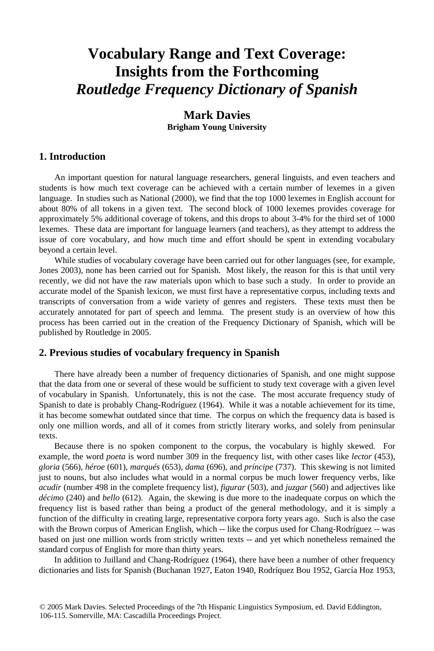### **Vocabulary Range and Text Coverage: Insights from the Forthcoming**  *Routledge Frequency Dictionary of Spanish*

#### **Mark Davies Brigham Young University**

#### **1. Introduction**

An important question for natural language researchers, general linguists, and even teachers and students is how much text coverage can be achieved with a certain number of lexemes in a given language. In studies such as National (2000), we find that the top 1000 lexemes in English account for about 80% of all tokens in a given text. The second block of 1000 lexemes provides coverage for approximately 5% additional coverage of tokens, and this drops to about 3-4% for the third set of 1000 lexemes. These data are important for language learners (and teachers), as they attempt to address the issue of core vocabulary, and how much time and effort should be spent in extending vocabulary beyond a certain level.

While studies of vocabulary coverage have been carried out for other languages (see, for example, Jones 2003), none has been carried out for Spanish. Most likely, the reason for this is that until very recently, we did not have the raw materials upon which to base such a study. In order to provide an accurate model of the Spanish lexicon, we must first have a representative corpus, including texts and transcripts of conversation from a wide variety of genres and registers. These texts must then be accurately annotated for part of speech and lemma. The present study is an overview of how this process has been carried out in the creation of the Frequency Dictionary of Spanish, which will be published by Routledge in 2005.

#### **2. Previous studies of vocabulary frequency in Spanish**

There have already been a number of frequency dictionaries of Spanish, and one might suppose that the data from one or several of these would be sufficient to study text coverage with a given level of vocabulary in Spanish. Unfortunately, this is not the case. The most accurate frequency study of Spanish to date is probably Chang-Rodríguez (1964). While it was a notable achievement for its time, it has become somewhat outdated since that time. The corpus on which the frequency data is based is only one million words, and all of it comes from strictly literary works, and solely from peninsular texts.

Because there is no spoken component to the corpus, the vocabulary is highly skewed. For example, the word *poeta* is word number 309 in the frequency list, with other cases like *lector* (453), *gloria* (566), *héroe* (601), *marqués* (653), *dama* (696), and *príncipe* (737). This skewing is not limited just to nouns, but also includes what would in a normal corpus be much lower frequency verbs, like *acudir* (number 498 in the complete frequency list), *figurar* (503), and *juzgar* (560) and adjectives like *décimo* (240) and *bello* (612). Again, the skewing is due more to the inadequate corpus on which the frequency list is based rather than being a product of the general methodology, and it is simply a function of the difficulty in creating large, representative corpora forty years ago. Such is also the case with the Brown corpus of American English, which -- like the corpus used for Chang-Rodríguez -- was based on just one million words from strictly written texts -- and yet which nonetheless remained the standard corpus of English for more than thirty years.

In addition to Juilland and Chang-Rodríguez (1964), there have been a number of other frequency dictionaries and lists for Spanish (Buchanan 1927, Eaton 1940, Rodríquez Bou 1952, García Hoz 1953,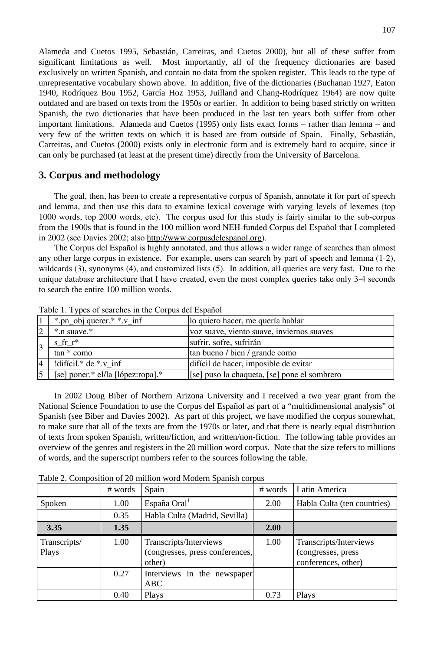Alameda and Cuetos 1995, Sebastián, Carreiras, and Cuetos 2000), but all of these suffer from significant limitations as well. Most importantly, all of the frequency dictionaries are based exclusively on written Spanish, and contain no data from the spoken register. This leads to the type of unrepresentative vocabulary shown above. In addition, five of the dictionaries (Buchanan 1927, Eaton 1940, Rodríquez Bou 1952, García Hoz 1953, Juilland and Chang-Rodríquez 1964) are now quite outdated and are based on texts from the 1950s or earlier. In addition to being based strictly on written Spanish, the two dictionaries that have been produced in the last ten years both suffer from other important limitations. Alameda and Cuetos (1995) only lists exact forms – rather than lemma – and very few of the written texts on which it is based are from outside of Spain. Finally, Sebastián, Carreiras, and Cuetos (2000) exists only in electronic form and is extremely hard to acquire, since it can only be purchased (at least at the present time) directly from the University of Barcelona.

#### **3. Corpus and methodology**

The goal, then, has been to create a representative corpus of Spanish, annotate it for part of speech and lemma, and then use this data to examine lexical coverage with varying levels of lexemes (top 1000 words, top 2000 words, etc). The corpus used for this study is fairly similar to the sub-corpus from the 1900s that is found in the 100 million word NEH-funded Corpus del Español that I completed in 2002 (see Davies 2002; also http://www.corpusdelespanol.org).

The Corpus del Español is highly annotated, and thus allows a wider range of searches than almost any other large corpus in existence. For example, users can search by part of speech and lemma (1-2), wildcards (3), synonyms (4), and customized lists (5). In addition, all queries are very fast. Due to the unique database architecture that I have created, even the most complex queries take only 3-4 seconds to search the entire 100 million words.

|                | *.pn_obj querer.* $\cdot v$ _inf  | lo quiero hacer, me quería hablar            |
|----------------|-----------------------------------|----------------------------------------------|
| $\overline{2}$ | *.n suave.*                       | voz suave, viento suave, inviernos suaves    |
| $\overline{3}$ | $s$ _fr_r <sup>*</sup>            | sufrir, sofre, sufrirán                      |
|                | $tan * como$                      | tan bueno / bien / grande como               |
| $\vert 4$      | !diffcil.* de $*$ . $v$ inf       | difícil de hacer, imposible de evitar        |
|                | [se] poner.* el/la [lópez:ropa].* | [se] puso la chaqueta, [se] pone el sombrero |

Table 1. Types of searches in the Corpus del Español

In 2002 Doug Biber of Northern Arizona University and I received a two year grant from the National Science Foundation to use the Corpus del Español as part of a "multidimensional analysis" of Spanish (see Biber and Davies 2002). As part of this project, we have modified the corpus somewhat, to make sure that all of the texts are from the 1970s or later, and that there is nearly equal distribution of texts from spoken Spanish, written/fiction, and written/non-fiction. The following table provides an overview of the genres and registers in the 20 million word corpus. Note that the size refers to millions of words, and the superscript numbers refer to the sources following the table.

|                       | # words | Spain                                                               | # words | Latin America                                                        |
|-----------------------|---------|---------------------------------------------------------------------|---------|----------------------------------------------------------------------|
| Spoken                | 1.00    | España Oral <sup>1</sup>                                            | 2.00    | Habla Culta (ten countries)                                          |
|                       | 0.35    | Habla Culta (Madrid, Sevilla)                                       |         |                                                                      |
| 3.35                  | 1.35    |                                                                     | 2.00    |                                                                      |
| Transcripts/<br>Plays | 1.00    | Transcripts/Interviews<br>(congresses, press conferences,<br>other) | 1.00    | Transcripts/Interviews<br>(congresses, press)<br>conferences, other) |
|                       | 0.27    | Interviews in the newspaper<br>ABC                                  |         |                                                                      |
|                       | 0.40    | Plays                                                               | 0.73    | Plays                                                                |

Table 2. Composition of 20 million word Modern Spanish corpus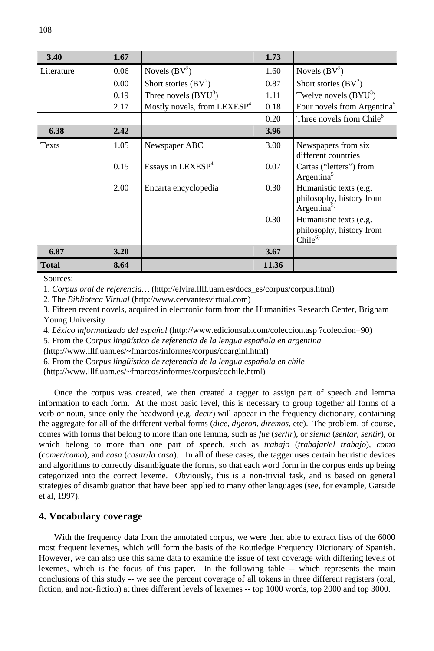| 3.40         | 1.67 |                                         | 1.73  |                                                                               |
|--------------|------|-----------------------------------------|-------|-------------------------------------------------------------------------------|
| Literature   | 0.06 | Novels $(BV^2)$                         | 1.60  | Novels $(BV^2)$                                                               |
|              | 0.00 | Short stories $(BV^2)$                  | 0.87  | Short stories $(BV^2)$                                                        |
|              | 0.19 | Three novels $(BYU^3)$                  | 1.11  | Twelve novels $(BYU^3)$                                                       |
|              | 2.17 | Mostly novels, from LEXESP <sup>4</sup> | 0.18  | Four novels from Argentina <sup>5</sup>                                       |
|              |      |                                         | 0.20  | Three novels from Chile <sup>6</sup>                                          |
| 6.38         | 2.42 |                                         | 3.96  |                                                                               |
| <b>Texts</b> | 1.05 | Newspaper ABC                           | 3.00  | Newspapers from six<br>different countries                                    |
|              | 0.15 | Essays in $LEXESP4$                     | 0.07  | Cartas ("letters") from<br>Argentina <sup>5</sup>                             |
|              | 2.00 | Encarta encyclopedia                    | 0.30  | Humanistic texts (e.g.<br>philosophy, history from<br>Argentina <sup>5)</sup> |
|              |      |                                         | 0.30  | Humanistic texts (e.g.<br>philosophy, history from<br>Chile <sup>6)</sup>     |
| 6.87         | 3.20 |                                         | 3.67  |                                                                               |
| <b>Total</b> | 8.64 |                                         | 11.36 |                                                                               |

Sources:

1. *Corpus oral de referencia…* (http://elvira.lllf.uam.es/docs\_es/corpus/corpus.html)

2. The *Biblioteca Virtual* (http://www.cervantesvirtual.com)

3. Fifteen recent novels, acquired in electronic form from the Humanities Research Center, Brigham Young University

4. *Léxico informatizado del español* (http://www.edicionsub.com/coleccion.asp ?coleccion=90)

5. From the C*orpus lingüístico de referencia de la lengua española en argentina* 

(http://www.lllf.uam.es/~fmarcos/informes/corpus/coarginl.html)

6. From the C*orpus lingüístico de referencia de la lengua española en chile* 

(http://www.lllf.uam.es/~fmarcos/informes/corpus/cochile.html)

Once the corpus was created, we then created a tagger to assign part of speech and lemma information to each form. At the most basic level, this is necessary to group together all forms of a verb or noun, since only the headword (e.g. *decir*) will appear in the frequency dictionary, containing the aggregate for all of the different verbal forms (*dice, dijeron, diremos*, etc). The problem, of course, comes with forms that belong to more than one lemma, such as *fue* (*ser*/*ir*), or *sienta* (*sentar, sentir*), or which belong to more than one part of speech, such as *trabajo* (*trabajar*/*el trabajo*), *como*  (*comer*/*como*), and *casa* (*casar*/*la casa*). In all of these cases, the tagger uses certain heuristic devices and algorithms to correctly disambiguate the forms, so that each word form in the corpus ends up being categorized into the correct lexeme. Obviously, this is a non-trivial task, and is based on general strategies of disambiguation that have been applied to many other languages (see, for example, Garside et al, 1997).

#### **4. Vocabulary coverage**

With the frequency data from the annotated corpus, we were then able to extract lists of the 6000 most frequent lexemes, which will form the basis of the Routledge Frequency Dictionary of Spanish. However, we can also use this same data to examine the issue of text coverage with differing levels of lexemes, which is the focus of this paper. In the following table -- which represents the main conclusions of this study -- we see the percent coverage of all tokens in three different registers (oral, fiction, and non-fiction) at three different levels of lexemes -- top 1000 words, top 2000 and top 3000.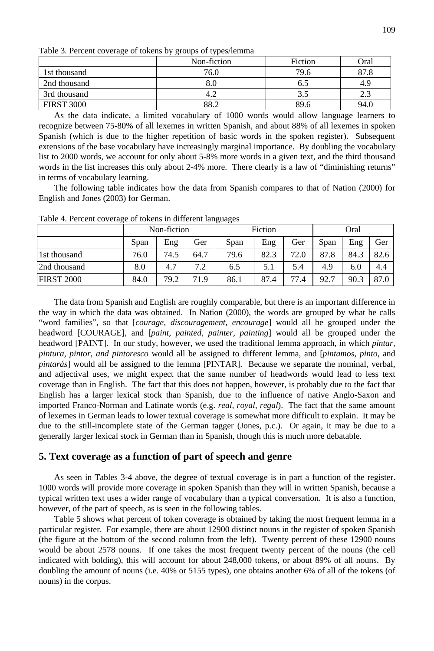Non-fiction Fiction **Property** Fiction **Property** Oral 1st thousand 15 1st thousand 15 1st thousand 15 1st thousand 16.0  $\frac{76.0}{27.8}$ 2nd thousand 2.0 8.0 6.5 4.9  $3rd$  thousand  $4.2$   $4.2$   $3.5$   $2.3$ FIRST 3000  $\vert$  88.2  $\vert$  89.6  $\vert$  94.0

Table 3. Percent coverage of tokens by groups of types/lemma

As the data indicate, a limited vocabulary of 1000 words would allow language learners to recognize between 75-80% of all lexemes in written Spanish, and about 88% of all lexemes in spoken Spanish (which is due to the higher repetition of basic words in the spoken register). Subsequent extensions of the base vocabulary have increasingly marginal importance. By doubling the vocabulary list to 2000 words, we account for only about 5-8% more words in a given text, and the third thousand words in the list increases this only about 2-4% more. There clearly is a law of "diminishing returns" in terms of vocabulary learning.

The following table indicates how the data from Spanish compares to that of Nation (2000) for English and Jones (2003) for German.

|              |      | Non-fiction |      | Fiction |      |      | Oral |      |      |
|--------------|------|-------------|------|---------|------|------|------|------|------|
|              | Span | Eng         | Ger  | Span    | Eng  | Ger  | Span | Eng  | Ger  |
| 1st thousand | 76.0 | 74.5        | 64.7 | 79.6    | 82.3 | 72.0 | 87.8 | 84.3 | 82.6 |
| 2nd thousand | 8.0  | 4.7         | 7.2  | 6.5     | 5.1  | 5.4  | 4.9  | 6.0  | 4.4  |
| FIRST 2000   | 84.0 | 79.2        | 71.9 | 86.1    | 87.4 | 77.4 | 92.7 | 90.3 | 87.0 |

Table 4. Percent coverage of tokens in different languages

The data from Spanish and English are roughly comparable, but there is an important difference in the way in which the data was obtained. In Nation (2000), the words are grouped by what he calls "word families", so that [*courage, discouragement, encourage*] would all be grouped under the headword [COURAGE], and [*paint, painted, painter, painting*] would all be grouped under the headword [PAINT]. In our study, however, we used the traditional lemma approach, in which *pintar, pintura, pintor*, *and pintoresco* would all be assigned to different lemma, and [*pintamos, pinto*, and *pintarás*] would all be assigned to the lemma [PINTAR]. Because we separate the nominal, verbal, and adjectival uses, we might expect that the same number of headwords would lead to less text coverage than in English. The fact that this does not happen, however, is probably due to the fact that English has a larger lexical stock than Spanish, due to the influence of native Anglo-Saxon and imported Franco-Norman and Latinate words (e.g. *real, royal, regal*). The fact that the same amount of lexemes in German leads to lower textual coverage is somewhat more difficult to explain. It may be due to the still-incomplete state of the German tagger (Jones, p.c.). Or again, it may be due to a generally larger lexical stock in German than in Spanish, though this is much more debatable.

#### **5. Text coverage as a function of part of speech and genre**

As seen in Tables 3-4 above, the degree of textual coverage is in part a function of the register. 1000 words will provide more coverage in spoken Spanish than they will in written Spanish, because a typical written text uses a wider range of vocabulary than a typical conversation. It is also a function, however, of the part of speech, as is seen in the following tables.

Table 5 shows what percent of token coverage is obtained by taking the most frequent lemma in a particular register. For example, there are about 12900 distinct nouns in the register of spoken Spanish (the figure at the bottom of the second column from the left). Twenty percent of these 12900 nouns would be about 2578 nouns. If one takes the most frequent twenty percent of the nouns (the cell indicated with bolding), this will account for about 248,000 tokens, or about 89% of all nouns. By doubling the amount of nouns (i.e. 40% or 5155 types), one obtains another 6% of all of the tokens (of nouns) in the corpus.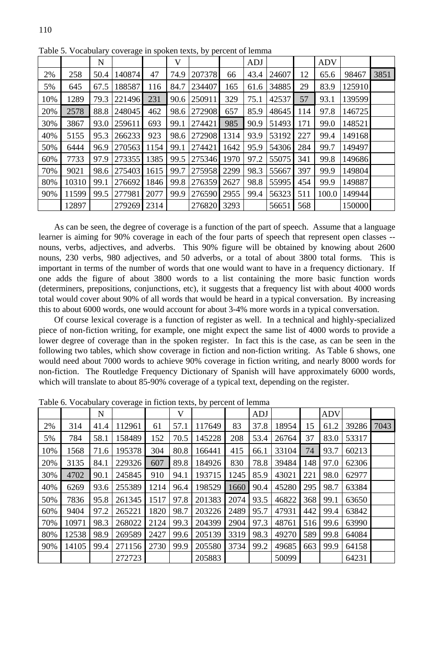|     |       | N    |        |      | V    |        |      | ADJ  |       |     | <b>ADV</b> |        |      |
|-----|-------|------|--------|------|------|--------|------|------|-------|-----|------------|--------|------|
| 2%  | 258   | 50.4 | 140874 | 47   | 74.9 | 207378 | 66   | 43.4 | 24607 | 12  | 65.6       | 98467  | 3851 |
| 5%  | 645   | 67.5 | 188587 | 116  | 84.7 | 234407 | 165  | 61.6 | 34885 | 29  | 83.9       | 125910 |      |
| 10% | 1289  | 79.3 | 221496 | 231  | 90.6 | 250911 | 329  | 75.1 | 42537 | 57  | 93.1       | 139599 |      |
| 20% | 2578  | 88.8 | 248045 | 462  | 98.6 | 272908 | 657  | 85.9 | 48645 | 114 | 97.8       | 146725 |      |
| 30% | 3867  | 93.0 | 259611 | 693  | 99.1 | 274421 | 985  | 90.9 | 51493 | 171 | 99.0       | 148521 |      |
| 40% | 5155  | 95.3 | 266233 | 923  | 98.6 | 272908 | 1314 | 93.9 | 53192 | 227 | 99.4       | 149168 |      |
| 50% | 6444  | 96.9 | 270563 | 1154 | 99.1 | 274421 | 1642 | 95.9 | 54306 | 284 | 99.7       | 149497 |      |
| 60% | 7733  | 97.9 | 273355 | 1385 | 99.5 | 275346 | 1970 | 97.2 | 55075 | 341 | 99.8       | 149686 |      |
| 70% | 9021  | 98.6 | 275403 | 1615 | 99.7 | 275958 | 2299 | 98.3 | 55667 | 397 | 99.9       | 149804 |      |
| 80% | 10310 | 99.1 | 276692 | 1846 | 99.8 | 276359 | 2627 | 98.8 | 55995 | 454 | 99.9       | 149887 |      |
| 90% | 11599 | 99.5 | 277981 | 2077 | 99.9 | 276590 | 2955 | 99.4 | 56323 | 511 | 100.0      | 149944 |      |
|     | 12897 |      | 279269 | 2314 |      | 276820 | 3293 |      | 56651 | 568 |            | 150000 |      |

Table 5. Vocabulary coverage in spoken texts, by percent of lemma

As can be seen, the degree of coverage is a function of the part of speech. Assume that a language learner is aiming for 90% coverage in each of the four parts of speech that represent open classes - nouns, verbs, adjectives, and adverbs. This 90% figure will be obtained by knowing about 2600 nouns, 230 verbs, 980 adjectives, and 50 adverbs, or a total of about 3800 total forms. This is important in terms of the number of words that one would want to have in a frequency dictionary. If one adds the figure of about 3800 words to a list containing the more basic function words (determiners, prepositions, conjunctions, etc), it suggests that a frequency list with about 4000 words total would cover about 90% of all words that would be heard in a typical conversation. By increasing this to about 6000 words, one would account for about 3-4% more words in a typical conversation.

Of course lexical coverage is a function of register as well. In a technical and highly-specialized piece of non-fiction writing, for example, one might expect the same list of 4000 words to provide a lower degree of coverage than in the spoken register. In fact this is the case, as can be seen in the following two tables, which show coverage in fiction and non-fiction writing. As Table 6 shows, one would need about 7000 words to achieve 90% coverage in fiction writing, and nearly 8000 words for non-fiction. The Routledge Frequency Dictionary of Spanish will have approximately 6000 words, which will translate to about 85-90% coverage of a typical text, depending on the register.

|     |       | N    |        |      | V    |        |      | <b>ADJ</b> |       |     | <b>ADV</b> |       |      |
|-----|-------|------|--------|------|------|--------|------|------------|-------|-----|------------|-------|------|
| 2%  | 314   | 41.4 | 112961 | 61   | 57.1 | 117649 | 83   | 37.8       | 18954 | 15  | 61.2       | 39286 | 7043 |
| 5%  | 784   | 58.1 | 158489 | 152  | 70.5 | 145228 | 208  | 53.4       | 26764 | 37  | 83.0       | 53317 |      |
| 10% | 1568  | 71.6 | 195378 | 304  | 80.8 | 166441 | 415  | 66.1       | 33104 | 74  | 93.7       | 60213 |      |
| 20% | 3135  | 84.1 | 229326 | 607  | 89.8 | 184926 | 830  | 78.8       | 39484 | 148 | 97.0       | 62306 |      |
| 30% | 4702  | 90.1 | 245845 | 910  | 94.1 | 193715 | 1245 | 85.9       | 43021 | 221 | 98.0       | 62977 |      |
| 40% | 6269  | 93.6 | 255389 | 1214 | 96.4 | 198529 | 1660 | 90.4       | 45280 | 295 | 98.7       | 63384 |      |
| 50% | 7836  | 95.8 | 261345 | 1517 | 97.8 | 201383 | 2074 | 93.5       | 46822 | 368 | 99.1       | 63650 |      |
| 60% | 9404  | 97.2 | 265221 | 1820 | 98.7 | 203226 | 2489 | 95.7       | 47931 | 442 | 99.4       | 63842 |      |
| 70% | 10971 | 98.3 | 268022 | 2124 | 99.3 | 204399 | 2904 | 97.3       | 48761 | 516 | 99.6       | 63990 |      |
| 80% | 12538 | 98.9 | 269589 | 2427 | 99.6 | 205139 | 3319 | 98.3       | 49270 | 589 | 99.8       | 64084 |      |
| 90% | 14105 | 99.4 | 271156 | 2730 | 99.9 | 205580 | 3734 | 99.2       | 49685 | 663 | 99.9       | 64158 |      |
|     |       |      | 272723 |      |      | 205883 |      |            | 50099 |     |            | 64231 |      |

Table 6. Vocabulary coverage in fiction texts, by percent of lemma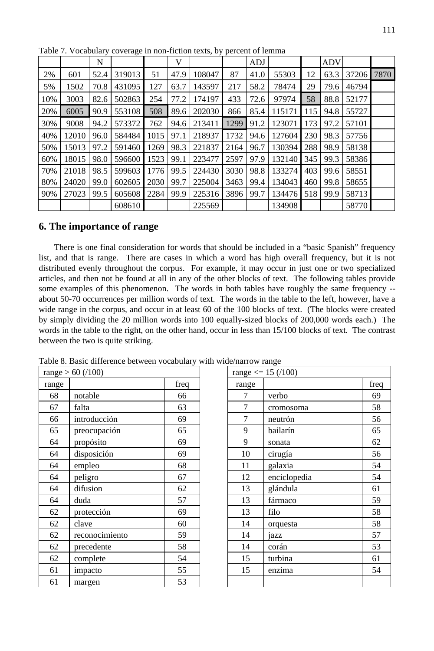|     |       | N    |        |      | V    | $\cdots$ , $\cdots$ |      | <b>ADJ</b> |        |     | <b>ADV</b> |       |      |
|-----|-------|------|--------|------|------|---------------------|------|------------|--------|-----|------------|-------|------|
| 2%  | 601   | 52.4 | 319013 | 51   | 47.9 | 108047              | 87   | 41.0       | 55303  | 12  | 63.3       | 37206 | 7870 |
| 5%  | 1502  | 70.8 | 431095 | 127  | 63.7 | 143597              | 217  | 58.2       | 78474  | 29  | 79.6       | 46794 |      |
| 10% | 3003  | 82.6 | 502863 | 254  | 77.2 | 174197              | 433  | 72.6       | 97974  | 58  | 88.8       | 52177 |      |
| 20% | 6005  | 90.9 | 553108 | 508  | 89.6 | 202030              | 866  | 85.4       | 115171 | 115 | 94.8       | 55727 |      |
| 30% | 9008  | 94.2 | 573372 | 762  | 94.6 | 213411              | 1299 | 91.2       | 123071 | 173 | 97.2       | 57101 |      |
| 40% | 12010 | 96.0 | 584484 | 1015 | 97.1 | 218937              | 1732 | 94.6       | 127604 | 230 | 98.3       | 57756 |      |
| 50% | 15013 | 97.2 | 591460 | 1269 | 98.3 | 221837              | 2164 | 96.7       | 130394 | 288 | 98.9       | 58138 |      |
| 60% | 18015 | 98.0 | 596600 | 1523 | 99.1 | 223477              | 2597 | 97.9       | 132140 | 345 | 99.3       | 58386 |      |
| 70% | 21018 | 98.5 | 599603 | 1776 | 99.5 | 224430              | 3030 | 98.8       | 133274 | 403 | 99.6       | 58551 |      |
| 80% | 24020 | 99.0 | 602605 | 2030 | 99.7 | 225004              | 3463 | 99.4       | 134043 | 460 | 99.8       | 58655 |      |
| 90% | 27023 | 99.5 | 605608 | 2284 | 99.9 | 225316              | 3896 | 99.7       | 134476 | 518 | 99.9       | 58713 |      |
|     |       |      | 608610 |      |      | 225569              |      |            | 134908 |     |            | 58770 |      |

Table 7. Vocabulary coverage in non-fiction texts, by percent of lemma

#### **6. The importance of range**

There is one final consideration for words that should be included in a "basic Spanish" frequency list, and that is range. There are cases in which a word has high overall frequency, but it is not distributed evenly throughout the corpus. For example, it may occur in just one or two specialized articles, and then not be found at all in any of the other blocks of text. The following tables provide some examples of this phenomenon. The words in both tables have roughly the same frequency - about 50-70 occurrences per million words of text. The words in the table to the left, however, have a wide range in the corpus, and occur in at least 60 of the 100 blocks of text. (The blocks were created by simply dividing the 20 million words into 100 equally-sized blocks of 200,000 words each.) The words in the table to the right, on the other hand, occur in less than 15/100 blocks of text. The contrast between the two is quite striking.

|       | range $> 60$ (/100) |      |                | range $\leq$ 15 (/100) |
|-------|---------------------|------|----------------|------------------------|
| range |                     | freq | range          |                        |
| 68    | notable             | 66   | 7              | verbo                  |
| 67    | falta               | 63   | 7              | cromoso                |
| 66    | introducción        | 69   | $\overline{7}$ | neutrón                |
| 65    | preocupación        | 65   | 9              | bailarín               |
| 64    | propósito           | 69   | 9              | sonata                 |
| 64    | disposición         | 69   | 10             | cirugía                |
| 64    | empleo              | 68   | 11             | galaxia                |
| 64    | peligro             | 67   | 12             | enciclope              |
| 64    | difusion            | 62   | 13             | glándula               |
| 64    | duda                | 57   | 13             | fármaco                |
| 62    | protección          | 69   | 13             | filo                   |
| 62    | clave               | 60   | 14             | orquesta               |
| 62    | reconocimiento      | 59   | 14             | jazz                   |
| 62    | precedente          | 58   | 14             | corán                  |
| 62    | complete            | 54   | 15             | turbina                |
| 61    | impacto             | 55   | 15             | enzima                 |
| 61    | margen              | 53   |                |                        |
|       |                     |      |                |                        |

Table 8. Basic difference between vocabulary with wide/narrow range

|       | range $> 60$ (/100) |      |                | range $\leq$ 15 (/100) |      |
|-------|---------------------|------|----------------|------------------------|------|
| range |                     | freq | range          |                        | freq |
| 68    | notable             | 66   | 7              | verbo                  | 69   |
| 67    | falta               | 63   | $\overline{7}$ | cromosoma              | 58   |
| 66    | introducción        | 69   | $\overline{7}$ | neutrón                | 56   |
| 65    | preocupación        | 65   | 9              | bailarín               | 65   |
| 64    | propósito           | 69   | 9              | sonata                 | 62   |
| 64    | disposición         | 69   | 10             | cirugía                | 56   |
| 64    | empleo              | 68   | 11             | galaxia                | 54   |
| 64    | peligro             | 67   | 12             | enciclopedia           | 54   |
| 64    | difusion            | 62   | 13             | glándula               | 61   |
| 64    | duda                | 57   | 13             | fármaco                | 59   |
| 62    | protección          | 69   | 13             | filo                   | 58   |
| 62    | clave               | 60   | 14             | orquesta               | 58   |
| 62    | reconocimiento      | 59   | 14             | jazz                   | 57   |
| 62    | precedente          | 58   | 14             | corán                  | 53   |
| 62    | complete            | 54   | 15             | turbina                | 61   |
| 61    | impacto             | 55   | 15             | enzima                 | 54   |
| 61    | margen              | 53   |                |                        |      |
|       |                     |      |                |                        |      |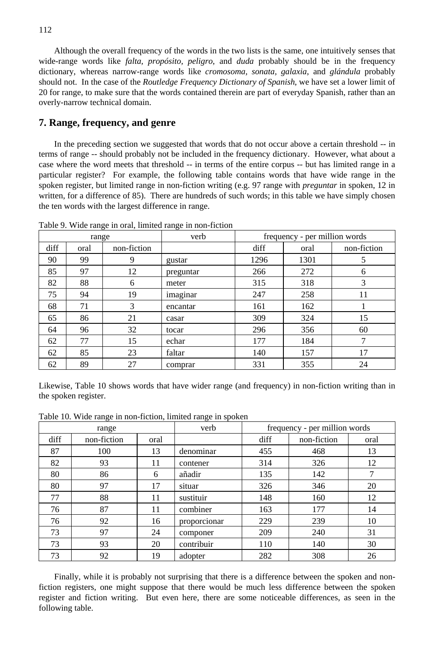Although the overall frequency of the words in the two lists is the same, one intuitively senses that wide-range words like *falta, propósito, peligro*, and *duda* probably should be in the frequency dictionary, whereas narrow-range words like *cromosoma, sonata, galaxia*, and *glándula* probably should not. In the case of the *Routledge Frequency Dictionary of Spanish*, we have set a lower limit of 20 for range, to make sure that the words contained therein are part of everyday Spanish, rather than an overly-narrow technical domain.

#### **7. Range, frequency, and genre**

In the preceding section we suggested that words that do not occur above a certain threshold -- in terms of range -- should probably not be included in the frequency dictionary. However, what about a case where the word meets that threshold -- in terms of the entire corpus -- but has limited range in a particular register? For example, the following table contains words that have wide range in the spoken register, but limited range in non-fiction writing (e.g. 97 range with *preguntar* in spoken, 12 in written, for a difference of 85). There are hundreds of such words; in this table we have simply chosen the ten words with the largest difference in range.

|      | range |             | verb      |      | frequency - per million words |             |
|------|-------|-------------|-----------|------|-------------------------------|-------------|
| diff | oral  | non-fiction |           | diff | oral                          | non-fiction |
| 90   | 99    | 9           | gustar    | 1296 | 1301                          | 5           |
| 85   | 97    | 12          | preguntar | 266  | 272                           | 6           |
| 82   | 88    | 6           | meter     | 315  | 318                           | 3           |
| 75   | 94    | 19          | imaginar  | 247  | 258                           | 11          |
| 68   | 71    | 3           | encantar  | 161  | 162                           |             |
| 65   | 86    | 21          | casar     | 309  | 324                           | 15          |
| 64   | 96    | 32          | tocar     | 296  | 356                           | 60          |
| 62   | 77    | 15          | echar     | 177  | 184                           | 7           |
| 62   | 85    | 23          | faltar    | 140  | 157                           | 17          |
| 62   | 89    | 27          | comprar   | 331  | 355                           | 24          |

Table 9. Wide range in oral, limited range in non-fiction

Likewise, Table 10 shows words that have wider range (and frequency) in non-fiction writing than in the spoken register.

Table 10. Wide range in non-fiction, limited range in spoken

|      | range       |      | verb         |      | frequency - per million words |      |  |  |
|------|-------------|------|--------------|------|-------------------------------|------|--|--|
| diff | non-fiction | oral |              | diff | non-fiction                   | oral |  |  |
| 87   | 100         | 13   | denominar    | 455  | 468                           | 13   |  |  |
| 82   | 93          | 11   | contener     | 314  | 326                           | 12   |  |  |
| 80   | 86          | 6    | añadir       | 135  | 142                           | 7    |  |  |
| 80   | 97          | 17   | situar       | 326  | 346                           | 20   |  |  |
| 77   | 88          | 11   | sustituir    | 148  | 160                           | 12   |  |  |
| 76   | 87          | 11   | combiner     | 163  | 177                           | 14   |  |  |
| 76   | 92          | 16   | proporcionar | 229  | 239                           | 10   |  |  |
| 73   | 97          | 24   | componer     | 209  | 240                           | 31   |  |  |
| 73   | 93          | 20   | contribuir   | 110  | 140                           | 30   |  |  |
| 73   | 92          | 19   | adopter      | 282  | 308                           | 26   |  |  |

Finally, while it is probably not surprising that there is a difference between the spoken and nonfiction registers, one might suppose that there would be much less difference between the spoken register and fiction writing. But even here, there are some noticeable differences, as seen in the following table.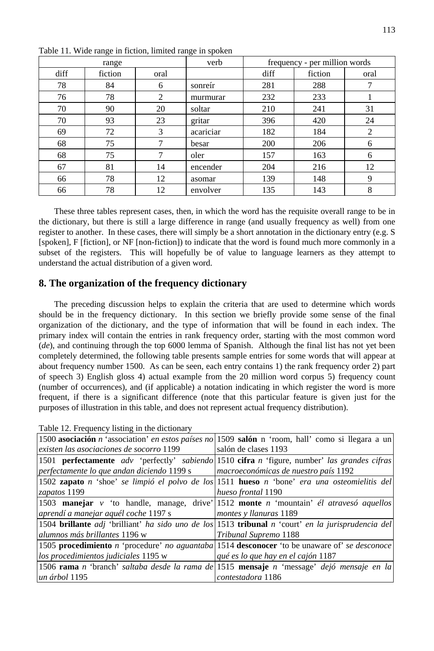|      | range   |      | verb      |      | frequency - per million words |                |  |
|------|---------|------|-----------|------|-------------------------------|----------------|--|
| diff | fiction | oral |           | diff | fiction                       | oral           |  |
| 78   | 84      | 6    | sonreír   | 281  | 288                           |                |  |
| 76   | 78      | 2    | murmurar  | 232  | 233                           |                |  |
| 70   | 90      | 20   | soltar    | 210  | 241                           | 31             |  |
| 70   | 93      | 23   | gritar    | 396  | 420                           | 24             |  |
| 69   | 72      | 3    | acariciar | 182  | 184                           | $\overline{2}$ |  |
| 68   | 75      | 7    | besar     | 200  | 206                           | 6              |  |
| 68   | 75      | 7    | oler      | 157  | 163                           | 6              |  |
| 67   | 81      | 14   | encender  | 204  | 216                           | 12             |  |
| 66   | 78      | 12   | asomar    | 139  | 148                           | 9              |  |
| 66   | 78      | 12   | envolver  | 135  | 143                           | 8              |  |

Table 11. Wide range in fiction, limited range in spoken

These three tables represent cases, then, in which the word has the requisite overall range to be in the dictionary, but there is still a large difference in range (and usually frequency as well) from one register to another. In these cases, there will simply be a short annotation in the dictionary entry (e.g. S [spoken], F [fiction], or NF [non-fiction]) to indicate that the word is found much more commonly in a subset of the registers. This will hopefully be of value to language learners as they attempt to understand the actual distribution of a given word.

#### **8. The organization of the frequency dictionary**

The preceding discussion helps to explain the criteria that are used to determine which words should be in the frequency dictionary. In this section we briefly provide some sense of the final organization of the dictionary, and the type of information that will be found in each index. The primary index will contain the entries in rank frequency order, starting with the most common word (*de*), and continuing through the top 6000 lemma of Spanish. Although the final list has not yet been completely determined, the following table presents sample entries for some words that will appear at about frequency number 1500. As can be seen, each entry contains 1) the rank frequency order 2) part of speech 3) English gloss 4) actual example from the 20 million word corpus 5) frequency count (number of occurrences), and (if applicable) a notation indicating in which register the word is more frequent, if there is a significant difference (note that this particular feature is given just for the purposes of illustration in this table, and does not represent actual frequency distribution).

| 1500 <b>asociación</b> n 'association' en estos países no 1509 <b>salón</b> n 'room, hall' como si llegara a un    |
|--------------------------------------------------------------------------------------------------------------------|
| salón de clases 1193                                                                                               |
| 1501 <b>perfectamente</b> adv 'perfectly' sabiendo 1510 <b>cifra</b> <i>n</i> 'figure, number' las grandes cifras  |
| macroeconómicas de nuestro país 1192                                                                               |
| 1502 <b>zapato</b> n 'shoe' se limpió el polvo de los 1511 <b>hueso</b> n 'bone' era una osteomielitis del         |
| hueso frontal 1190                                                                                                 |
| 1503 <b>manejar</b> v 'to handle, manage, drive' 1512 <b>monte</b> <i>n</i> 'mountain' <i>él atravesó aquellos</i> |
| <i>montes</i> y <i>llanuras</i> 1189                                                                               |
| [1504 <b>brillante</b> adj 'brilliant' ha sido uno de los [1513 <b>tribunal</b> n 'court' en la jurisprudencia del |
| <b>Tribunal Supremo 1188</b>                                                                                       |
| 1505 procedimiento <i>n</i> 'procedure' <i>no aguantaba</i> 1514 desconocer 'to be unaware of' <i>se desconoce</i> |
| qué es lo que hay en el cajón 1187                                                                                 |
| 1506 rama n 'branch' saltaba desde la rama de 1515 mensaje n 'message' dejó mensaje en la                          |
| contestadora 1186                                                                                                  |
|                                                                                                                    |

Table 12. Frequency listing in the dictionary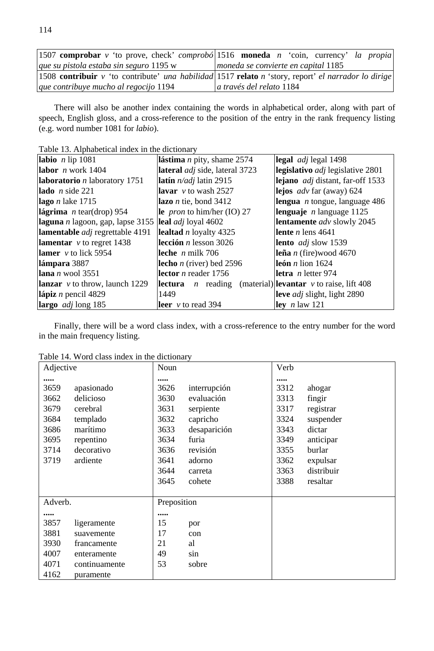| 1507 <b>comprobar</b> v 'to prove, check' <i>comprobo</i> 1516 <b>moneda</b> <i>n</i> 'coin, currency' la propia                       |                                     |
|----------------------------------------------------------------------------------------------------------------------------------------|-------------------------------------|
| que su pistola estaba sin seguro 1195 w                                                                                                | moneda se convierte en capital 1185 |
| 1508 <b>contribuir</b> v 'to contribute' <i>una habilidad</i> 1517 <b>relato</b> <i>n</i> 'story, report' <i>el narrador lo dirige</i> |                                     |
| que contribuye mucho al regocijo 1194                                                                                                  | a través del relato 1184            |

There will also be another index containing the words in alphabetical order, along with part of speech, English gloss, and a cross-reference to the position of the entry in the rank frequency listing (e.g. word number 1081 for *labio*).

Table 13. Alphabetical index in the dictionary

| labio $n$ lip 1081                                                 | lástima $n$ pity, shame 2574           | legal $\alpha$ dj legal 1498                        |  |  |
|--------------------------------------------------------------------|----------------------------------------|-----------------------------------------------------|--|--|
| <b>labor</b> <i>n</i> work $1404$                                  | lateral <i>adj</i> side, lateral 3723  | legislativo <i>adj</i> legislative 2801             |  |  |
| laboratorio $n$ laboratory 1751                                    | latín $n/adj$ latin 2915               | lejano <i>adj</i> distant, far-off 1533             |  |  |
| <b>lado</b> <i>n</i> side 221                                      | <b>lavar</b> $\nu$ to wash 2527        | lejos <i>adv</i> far (away) 624                     |  |  |
| lago <i>n</i> lake $1715$                                          | <b>lazo</b> <i>n</i> tie, bond $3412$  | lengua <i>n</i> tongue, language $486$              |  |  |
| lágrima <i>n</i> tear(drop) 954                                    | le <i>pron</i> to him/her (IO) 27      | lenguaje <i>n</i> language $1125$                   |  |  |
| laguna <i>n</i> lagoon, gap, lapse 3155 leal <i>adi</i> loyal 4602 |                                        | <b>lentamente</b> <i>adv</i> slowly 2045            |  |  |
| lamentable <i>adj</i> regrettable 4191                             | lealtad $n$ loyalty 4325               | <b>llente</b> <i>n</i> lens $4641$                  |  |  |
| <b>lamentar</b> $\nu$ to regret 1438                               | <b>llección</b> <i>n</i> lesson 3026   | <b>lento</b> <i>adj</i> slow 1539                   |  |  |
| <b>lamer</b> $v$ to lick 5954                                      | <b>lleche</b> <i>n</i> milk 706        | leña $n$ (fire) wood 4670                           |  |  |
| lámpara 3887                                                       | <b>lecho</b> <i>n</i> (river) bed 2596 | <b>león</b> <i>n</i> lion 1624                      |  |  |
| <b>llana</b> <i>n</i> wool $3551$                                  | <b>lector</b> <i>n</i> reader $1756$   | <b>lletra</b> <i>n</i> letter 974                   |  |  |
| <b>lanzar</b> $\nu$ to throw, launch 1229                          | <b>lectura</b> <i>n</i> reading        | (material) <b>levantar</b> $\nu$ to raise, lift 408 |  |  |
| lápiz <i>n</i> pencil 4829                                         | 1449                                   | leve <i>adj</i> slight, light 2890                  |  |  |
| largo $adj$ long 185                                               | <b>leer</b> $\nu$ to read 394          | ley $n$ law 121                                     |  |  |

Finally, there will be a word class index, with a cross-reference to the entry number for the word in the main frequency listing.

| Adjective                                                        |                                                                                                    | Noun                                                                             |                                                                                                                         | Verb                                                                             |                                                                                                                   |
|------------------------------------------------------------------|----------------------------------------------------------------------------------------------------|----------------------------------------------------------------------------------|-------------------------------------------------------------------------------------------------------------------------|----------------------------------------------------------------------------------|-------------------------------------------------------------------------------------------------------------------|
| <br>3659<br>3662<br>3679<br>3684<br>3686<br>3695<br>3714<br>3719 | apasionado<br>delicioso<br>cerebral<br>templado<br>marítimo<br>repentino<br>decorativo<br>ardiente | <br>3626<br>3630<br>3631<br>3632<br>3633<br>3634<br>3636<br>3641<br>3644<br>3645 | interrupción<br>evaluación<br>serpiente<br>capricho<br>desaparición<br>furia<br>revisión<br>adorno<br>carreta<br>cohete | <br>3312<br>3313<br>3317<br>3324<br>3343<br>3349<br>3355<br>3362<br>3363<br>3388 | ahogar<br>fingir<br>registrar<br>suspender<br>dictar<br>anticipar<br>burlar<br>expulsar<br>distribuir<br>resaltar |
| Adverb.<br><br>3857<br>3881<br>3930<br>4007<br>4071<br>4162      | ligeramente<br>suavemente<br>francamente<br>enteramente<br>continuamente<br>puramente              | Preposition<br><br>15<br>17<br>21<br>49<br>53                                    | por<br>con<br>al<br>sin<br>sobre                                                                                        |                                                                                  |                                                                                                                   |

Table 14. Word class index in the dictionary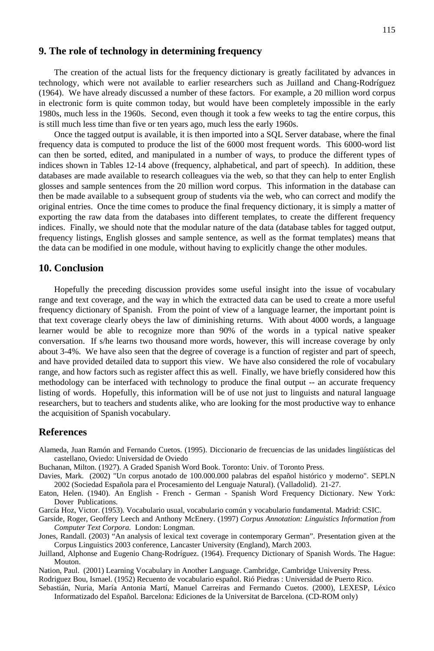#### **9. The role of technology in determining frequency**

The creation of the actual lists for the frequency dictionary is greatly facilitated by advances in technology, which were not available to earlier researchers such as Juilland and Chang-Rodríguez (1964). We have already discussed a number of these factors. For example, a 20 million word corpus in electronic form is quite common today, but would have been completely impossible in the early 1980s, much less in the 1960s. Second, even though it took a few weeks to tag the entire corpus, this is still much less time than five or ten years ago, much less the early 1960s.

Once the tagged output is available, it is then imported into a SQL Server database, where the final frequency data is computed to produce the list of the 6000 most frequent words. This 6000-word list can then be sorted, edited, and manipulated in a number of ways, to produce the different types of indices shown in Tables 12-14 above (frequency, alphabetical, and part of speech). In addition, these databases are made available to research colleagues via the web, so that they can help to enter English glosses and sample sentences from the 20 million word corpus. This information in the database can then be made available to a subsequent group of students via the web, who can correct and modify the original entries. Once the time comes to produce the final frequency dictionary, it is simply a matter of exporting the raw data from the databases into different templates, to create the different frequency indices. Finally, we should note that the modular nature of the data (database tables for tagged output, frequency listings, English glosses and sample sentence, as well as the format templates) means that the data can be modified in one module, without having to explicitly change the other modules.

#### **10. Conclusion**

Hopefully the preceding discussion provides some useful insight into the issue of vocabulary range and text coverage, and the way in which the extracted data can be used to create a more useful frequency dictionary of Spanish. From the point of view of a language learner, the important point is that text coverage clearly obeys the law of diminishing returns. With about 4000 words, a language learner would be able to recognize more than 90% of the words in a typical native speaker conversation. If s/he learns two thousand more words, however, this will increase coverage by only about 3-4%. We have also seen that the degree of coverage is a function of register and part of speech, and have provided detailed data to support this view. We have also considered the role of vocabulary range, and how factors such as register affect this as well. Finally, we have briefly considered how this methodology can be interfaced with technology to produce the final output -- an accurate frequency listing of words. Hopefully, this information will be of use not just to linguists and natural language researchers, but to teachers and students alike, who are looking for the most productive way to enhance the acquisition of Spanish vocabulary.

#### **References**

Alameda, Juan Ramón and Fernando Cuetos. (1995). Diccionario de frecuencias de las unidades lingüísticas del castellano, Oviedo: Universidad de Oviedo

Buchanan, Milton. (1927). A Graded Spanish Word Book. Toronto: Univ. of Toronto Press.

- Davies, Mark. (2002) "Un corpus anotado de 100.000.000 palabras del español histórico y moderno". SEPLN 2002 (Sociedad Española para el Procesamiento del Lenguaje Natural). (Valladolid). 21-27.
- Eaton, Helen. (1940). An English French German Spanish Word Frequency Dictionary. New York: Dover Publications.
- García Hoz, Victor. (1953). Vocabulario usual, vocabulario común y vocabulario fundamental. Madrid: CSIC.

Garside, Roger, Geoffery Leech and Anthony McEnery. (1997) *Corpus Annotation: Linguistics Information from Computer Text Corpora.* London: Longman.

- Jones, Randall. (2003) "An analysis of lexical text coverage in contemporary German". Presentation given at the Corpus Linguistics 2003 conference, Lancaster University (England), March 2003.
- Juilland, Alphonse and Eugenio Chang-Rodríguez. (1964). Frequency Dictionary of Spanish Words. The Hague: Mouton.

Nation, Paul. (2001) Learning Vocabulary in Another Language. Cambridge, Cambridge University Press.

Rodriguez Bou, Ismael. (1952) Recuento de vocabulario español. Rió Piedras : Universidad de Puerto Rico.

Sebastián, Nuria, María Antonia Martí, Manuel Carreiras and Fermando Cuetos. (2000), LEXESP, Léxico Informatizado del Español. Barcelona: Ediciones de la Universitat de Barcelona. (CD-ROM only)